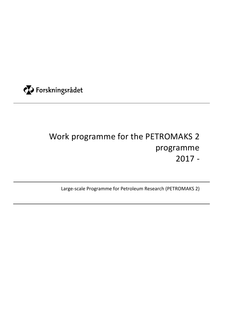

# Work programme for the PETROMAKS 2 programme 2017 -

Large-scale Programme for Petroleum Research (PETROMAKS 2)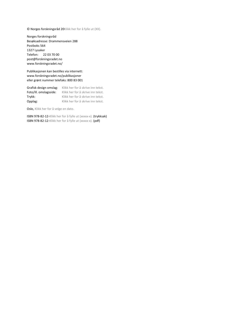© Norges forskningsråd 20Klikk her for å fylle ut (XX).

Norges forskningsråd Besøksadresse: Drammensveien 288 Postboks 564 1327 Lysaker Telefon: 22 03 70 00 post@forskningsradet.no www.forskningsradet.no/

Publikasjonen kan bestilles via internett: www.forskningsradet.no/publikasjoner eller grønt nummer telefaks: 800 83 001

| Grafisk design omslag: | Klikk her for å skrive inn tekst. |
|------------------------|-----------------------------------|
| Foto/ill. omslagsside: | Klikk her for å skrive inn tekst. |
| Trykk:                 | Klikk her for å skrive inn tekst. |
| Opplag:                | Klikk her for å skrive inn tekst. |

Oslo, Klikk her for å velge en dato.

ISBN 978-82-12-Klikk her for å fylle ut (xxxxx-x). (trykksak) ISBN 978-82-12-Klikk her for å fylle ut (xxxxx-x). (pdf)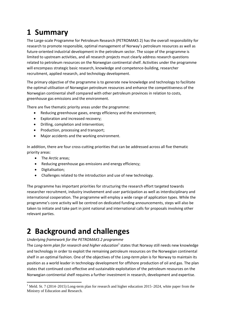# **1 Summary**

The Large-scale Programme for Petroleum Research (PETROMAKS 2) has the overall responsibility for research to promote responsible, optimal management of Norway's petroleum resources as well as future-oriented industrial development in the petroleum sector. The scope of the programme is limited to upstream activities, and all research projects must clearly address research questions related to petroleum resources on the Norwegian continental shelf. Activities under the programme will encompass strategic basic research, knowledge and competence-building, researcher recruitment, applied research, and technology development.

The primary objective of the programme is to generate new knowledge and technology to facilitate the optimal utilisation of Norwegian petroleum resources and enhance the competitiveness of the Norwegian continental shelf compared with other petroleum provinces in relation to costs, greenhouse gas emissions and the environment.

There are five thematic priority areas under the programme:

- Reducing greenhouse gases, energy efficiency and the environment;
- Exploration and increased recovery;
- Drilling, completion and intervention;
- Production, processing and transport;
- Major accidents and the working environment.

In addition, there are four cross-cutting priorities that can be addressed across all five thematic priority areas:

- The Arctic areas;
- Reducing greenhouse gas emissions and energy efficiency;
- Digitalisation;

 $\overline{\phantom{a}}$ 

Challenges related to the introduction and use of new technology.

The programme has important priorities for structuring the research effort targeted towards researcher recruitment, industry involvement and user participation as well as interdisciplinary and international cooperation. The programme will employ a wide range of application types. While the programme's core activity will be centred on dedicated funding announcements, steps will also be taken to initiate and take part in joint national and international calls for proposals involving other relevant parties.

# **2 Background and challenges**

#### *Underlying framework for the PETROMAKS 2 programme*

The *Long-term plan for research and higher education*<sup>1</sup> states that Norway still needs new knowledge and technology in order to exploit the remaining petroleum resources on the Norwegian continental shelf in an optimal fashion. One of the objectives of the *Long-term plan* is for Norway to maintain its position as a world leader in technology development for offshore production of oil and gas. The plan states that continued cost-effective and sustainable exploitation of the petroleum resources on the Norwegian continental shelf requires a further investment in research, development and expertise.

<sup>&</sup>lt;sup>1</sup> Meld. St. 7 (2014–2015) Long-term plan for research and higher education 2015–2024, white paper from the Ministry of Education and Research.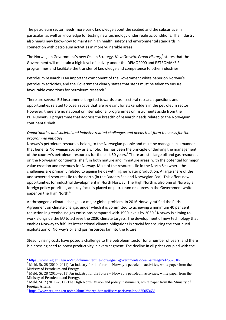The petroleum sector needs more basic knowledge about the seabed and the subsurface in particular, as well as knowledge for testing new technology under realistic conditions. The industry also needs new know-how to maintain high health, safety and environmental standards in connection with petroleum activities in more vulnerable areas.

The Norwegian Government's new Ocean Strategy, New Growth, Proud History,<sup>2</sup> states that the Government will maintain a high level of activity under the DEMO2000 and PETROMAKS 2 programmes and facilitate the transfer of knowledge and competence to other industries.

Petroleum research is an important component of the Government white paper on Norway's petroleum activities, and the Government clearly states that steps must be taken to ensure favourable conditions for petroleum research.<sup>3</sup>

There are several EU instruments targeted towards cross-sectoral research questions and opportunities related to ocean space that are relevant for stakeholders in the petroleum sector. However, there are no national or international programmes or instruments aside from the PETROMAKS 2 programme that address the breadth of research needs related to the Norwegian continental shelf.

#### *Opportunities and societal and industry-related challenges and needs that form the basis for the programme initiative*

Norway's petroleum resources belong to the Norwegian people and must be managed in a manner that benefits Norwegian society as a whole. This has been the principle underlying the management of the country's petroleum resources for the past 50 years.<sup>4</sup> There are still large oil and gas resources on the Norwegian continental shelf, in both mature and immature areas, with the potential for major value creation and revenues for Norway. Most of the resources lie in the North Sea where the challenges are primarily related to ageing fields with higher water production. A large share of the undiscovered resources lie to the north (in the Barents Sea and Norwegian Sea). This offers new opportunities for industrial development in North Norway. The High North is also one of Norway's foreign policy priorities, and key focus is placed on petroleum resources in the Government white paper on the High North.<sup>5</sup>

Anthropogenic climate change is a major global problem. In 2016 Norway ratified the Paris Agreement on climate change, under which it is committed to achieving a minimum 40 per cent reduction in greenhouse gas emissions compared with 1990 levels by 2030.<sup>6</sup> Norway is aiming to work alongside the EU to achieve the 2030 climate targets. The development of new technology that enables Norway to fulfil its international climate obligations is crucial for ensuring the continued exploitation of Norway's oil and gas resources far into the future.

Steadily rising costs have posed a challenge to the petroleum sector for a number of years, and there is a pressing need to boost productivity in every segment. The decline in oil prices coupled with the

 $\overline{\phantom{a}}$ <sup>2</sup> <https://www.regjeringen.no/en/dokumenter/the-norwegian-governments-ocean-strategy/id2552610/>

<sup>&</sup>lt;sup>3</sup> Meld. St. 28 (2010–2011) An industry for the future – Norway's petroleum activities, white paper from the Ministry of Petroleum and Energy.

<sup>&</sup>lt;sup>4</sup> Meld. St. 28 (2010–2011) An industry for the future – Norway's petroleum activities, white paper from the Ministry of Petroleum and Energy.

 $<sup>5</sup>$  Meld. St. 7 (2011–2012) The High North. Vision and policy instruments, white paper from the Ministry of</sup> Foreign Affairs.

<sup>&</sup>lt;sup>6</sup> <https://www.regjeringen.no/en/aktuelt/norge-har-ratifisert-parisavtalen/id2505365/>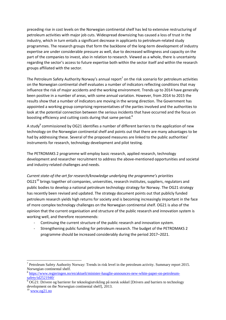preceding rise in cost levels on the Norwegian continental shelf has led to extensive restructuring of petroleum activities with major job cuts. Widespread downsizing has caused a loss of trust in the industry, which in turn entails a significant decrease in applicants to petroleum-related study programmes. The research groups that form the backbone of the long-term development of industry expertise are under considerable pressure as well, due to decreased willingness and capacity on the part of the companies to invest, also in relation to research. Viewed as a whole, there is uncertainty regarding the sector's access to future expertise both within the sector itself and within the research groups affiliated with the sector.

The Petroleum Safety Authority Norway's annual report<sup>7</sup> on the risk scenario for petroleum activities on the Norwegian continental shelf evaluates a number of indicators reflecting conditions that may influence the risk of major accidents and the working environment. Trends up to 2014 have generally been positive in a number of areas, with some annual variation. However, from 2014 to 2015 the results show that a number of indicators are moving in the wrong direction. The Government has appointed a working group comprising representatives of the parties involved and the authorities to look at the potential connection between the serious incidents that have occurred and the focus on boosting efficiency and cutting costs during that same period.<sup>8</sup>

A study<sup>9</sup> commissioned by OG21 identifies a number of different barriers to the application of new technology on the Norwegian continental shelf and points out that there are many advantages to be had by addressing these. Several of the proposed measures are linked to the public authorities' instruments for research, technology development and pilot testing.

The PETROMAKS 2 programme will employ basic research, applied research, technology development and researcher recruitment to address the above-mentioned opportunities and societal and industry-related challenges and needs.

*Current state-of-the-art for research/knowledge underlying the programme's priorities*  OG21<sup>10</sup> brings together oil companies, universities, research institutes, suppliers, regulators and public bodies to develop a national petroleum technology strategy for Norway. The OG21 strategy has recently been revised and updated. The strategy document points out that publicly funded petroleum research yields high returns for society and is becoming increasingly important in the face of more complex technology challenges on the Norwegian continental shelf. OG21 is also of the opinion that the current organisation and structure of the public research and innovation system is working well, and therefore recommends:

- Continuing the current structure of the public research and innovation system.
- Strengthening public funding for petroleum research. The budget of the PETROMAKS 2 programme should be increased considerably during the period 2017–2021.

l

<sup>&</sup>lt;sup>7</sup> Petroleum Safety Authority Norway: Trends in risk level in the petroleum activity. Summary report 2015. Norwegian continental shelf.

<sup>&</sup>lt;sup>8</sup> [https://www.regjeringen.no/en/aktuelt/minister-hauglie-announces-new-white-paper-on-petroleum](https://www.regjeringen.no/en/aktuelt/minister-hauglie-announces-new-white-paper-on-petroleum-safety/id2521940/)[safety/id2521940/](https://www.regjeringen.no/en/aktuelt/minister-hauglie-announces-new-white-paper-on-petroleum-safety/id2521940/)

 $9$  OG21: Drivere og barrierer for teknologiutvikling på norsk sokkel [Drivers and barriers to technology development on the Norwegian continental shelf], 2013.

 $10$  [www.og21.no](http://www.og21.no/)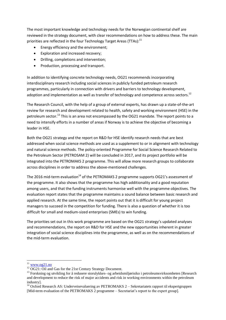The most important knowledge and technology needs for the Norwegian continental shelf are reviewed in the strategy document, with clear recommendations on how to address these. The main priorities are reflected in the four Technology Target Areas (TTAs):<sup>11</sup>

- Energy efficiency and the environment;
- Exploration and increased recovery;
- Drilling, completions and intervention;
- Production, processing and transport.

In addition to identifying concrete technology needs, OG21 recommends incorporating interdisciplinary research including social sciences in publicly funded petroleum research programmes, particularly in connection with drivers and barriers to technology development, adoption and implementation as well as transfer of technology and competence across sectors.<sup>12</sup>

The Research Council, with the help of a group of external experts, has drawn up a state-of-the-art review for research and development related to health, safety and working environment (HSE) in the petroleum sector.<sup>13</sup> This is an area not encompassed by the OG21 mandate. The report points to a need to intensify efforts in a number of areas if Norway is to achieve the objective of becoming a leader in HSE.

Both the OG21 strategy and the report on R&D for HSE identify research needs that are best addressed when social science methods are used as a supplement to or in alignment with technology and natural science methods. The policy-oriented Programme for Social Science Research Related to the Petroleum Sector (PETROSAM 2) will be concluded in 2017, and its project portfolio will be integrated into the PETROMAKS 2 programme. This will allow more research groups to collaborate across disciplines in order to address the above-mentioned challenges.

The 2016 mid-term evaluation<sup>14</sup> of the PETROMAKS 2 programme supports OG21's assessment of the programme. It also shows that the programme has high additionality and a good reputation among users, and that the funding instruments harmonise well with the programme objectives. The evaluation report states that the programme maintains a sound balance between basic research and applied research. At the same time, the report points out that it is difficult for young project managers to succeed in the competition for funding. There is also a question of whether it is too difficult for small and medium-sized enterprises (SMEs) to win funding.

The priorities set out in this work programme are based on the OG21 strategy's updated analyses and recommendations, the report on R&D for HSE and the new opportunities inherent in greater integration of social science disciplines into the programme, as well as on the recommendations of the mid-term evaluation.

l

 $\frac{11}{11}$  [www.og21.no](http://www.og21.no/)

<sup>&</sup>lt;sup>12</sup> OG21: Oil and Gas for the 21st Century Strategy Document.

<sup>&</sup>lt;sup>13</sup> Forskning og utvikling for å redusere storulykkes- og arbeidsmiljørisiko i petroleumsvirksomheten [Research and development to reduce the risk of major accidents and risk in working environments within the petroleum industry].

<sup>&</sup>lt;sup>14</sup> Oxford Research AS: Underveisevaluering av PETROMAKS 2 – Sekretariatets rapport til ekspertgruppen [Mid-term evaluation of the PETROMAKS 2 programme – Secretariat's report to the expert group].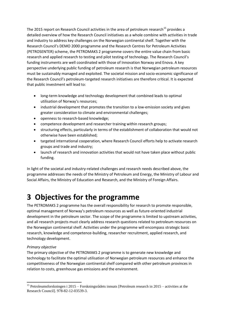The 2015 report on Research Council activities in the area of petroleum research<sup>15</sup> provides a detailed overview of how the Research Council initiatives as a whole combine with activities in trade and industry to address key challenges on the Norwegian continental shelf. Together with the Research Council's DEMO 2000 programme and the Research Centres for Petroleum Activities (PETROSENTER) scheme, the PETROMAKS 2 programme covers the entire value chain from basic research and applied research to testing and pilot testing of technology. The Research Council's funding instruments are well coordinated with those of Innovation Norway and Enova. A key perspective underlying public funding of petroleum research is that Norwegian petroleum resources must be sustainably managed and exploited. The societal mission and socio-economic significance of the Research Council's petroleum-targeted research initiatives are therefore critical. It is expected that public investment will lead to:

- long-term knowledge and technology development that combined leads to optimal utilisation of Norway's resources;
- industrial development that promotes the transition to a low-emission society and gives greater consideration to climate and environmental challenges;
- openness to research-based knowledge;
- competence development and researcher training within research groups;
- structuring effects, particularly in terms of the establishment of collaboration that would not otherwise have been established;
- targeted international cooperation, where Research Council efforts help to activate research groups and trade and industry;
- launch of research and innovation activities that would not have taken place without public funding.

In light of the societal and industry-related challenges and research needs described above, the programme addresses the needs of the Ministry of Petroleum and Energy, the Ministry of Labour and Social Affairs, the Ministry of Education and Research, and the Ministry of Foreign Affairs.

## **3 Objectives for the programme**

The PETROMAKS 2 programme has the overall responsibility for research to promote responsible, optimal management of Norway's petroleum resources as well as future-oriented industrial development in the petroleum sector. The scope of the programme is limited to upstream activities, and all research projects must clearly address research questions related to petroleum resources on the Norwegian continental shelf. Activities under the programme will encompass strategic basic research, knowledge and competence-building, researcher recruitment, applied research, and technology development.

#### *Primary objective*

 $\overline{\phantom{a}}$ 

The primary objective of the PETROMAKS 2 programme is to generate new knowledge and technology to facilitate the optimal utilisation of Norwegian petroleum resources and enhance the competitiveness of the Norwegian continental shelf compared with other petroleum provinces in relation to costs, greenhouse gas emissions and the environment.

<sup>&</sup>lt;sup>15</sup> Petroleumsforskningen i 2015 – Forskningsrådets innsats [Petroleum research in 2015 – activities at the Research Council]. 978-82-12-03539-3.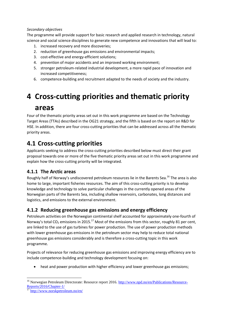#### *Secondary objectives*

The programme will provide support for basic research and applied research in technology, natural science and social science disciplines to generate new competence and innovations that will lead to:

- 1. increased recovery and more discoveries;
- 2. reduction of greenhouse gas emissions and environmental impacts;
- 3. cost-effective and energy-efficient solutions;
- 4. prevention of major accidents and an improved working environment;
- 5. stronger petroleum-related industrial development, a more rapid pace of innovation and increased competitiveness;
- 6. competence-building and recruitment adapted to the needs of society and the industry.

# **4 Cross-cutting priorities and thematic priority areas**

Four of the thematic priority areas set out in this work programme are based on the Technology Target Areas (TTAs) described in the OG21 strategy, and the fifth is based on the report on R&D for HSE. In addition, there are four cross-cutting priorities that can be addressed across all the thematic priority areas.

### **4.1 Cross-cutting priorities**

Applicants seeking to address the cross-cutting priorities described below must direct their grant proposal towards one or more of the five thematic priority areas set out in this work programme and explain how the cross-cutting priority will be integrated.

#### **4.1.1 The Arctic areas**

Roughly half of Norway's undiscovered petroleum resources lie in the Barents Sea.<sup>16</sup> The area is also home to large, important fisheries resources. The aim of this cross-cutting priority is to develop knowledge and technology to solve particular challenges in the currently opened areas of the Norwegian parts of the Barents Sea, including shallow reservoirs, carbonates, long distances and logistics, and emissions to the external environment.

#### **4.1.2 Reducing greenhouse gas emissions and energy efficiency**

Petroleum activities on the Norwegian continental shelf accounted for approximately one-fourth of Norway's total CO<sub>2</sub> emissions in 2015.<sup>17</sup> Most of the emissions from this sector, roughly 81 per cent, are linked to the use of gas turbines for power production. The use of power production methods with lower greenhouse gas emissions in the petroleum sector may help to reduce total national greenhouse gas emissions considerably and is therefore a cross-cutting topic in this work programme.

Projects of relevance for reducing greenhouse gas emissions and improving energy efficiency are to include competence-building and technology development focusing on:

heat and power production with higher efficiency and lower greenhouse gas emissions;

 $\overline{a}$ 

<sup>&</sup>lt;sup>16</sup> Norwegian Petroleum Directorate: Resource report 2016. [http://www.npd.no/en/Publications/Resource-](http://www.npd.no/en/Publications/Resource-Reports/2016/Chapter-1/)[Reports/2016/Chapter-1/](http://www.npd.no/en/Publications/Resource-Reports/2016/Chapter-1/)

<sup>17</sup> <http://www.norskpetroleum.no/en/>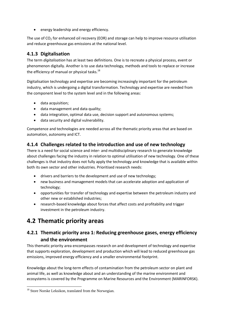energy leadership and energy efficiency.

The use of  $CO<sub>2</sub>$  for enhanced oil recovery (EOR) and storage can help to improve resource utilisation and reduce greenhouse gas emissions at the national level.

#### **4.1.3 Digitalisation**

The term *digitalisation* has at least two definitions. One is to recreate a physical process, event or phenomenon digitally. Another is to use data technology, methods and tools to replace or increase the efficiency of manual or physical tasks.<sup>18</sup>

Digitalisation technology and expertise are becoming increasingly important for the petroleum industry, which is undergoing a digital transformation. Technology and expertise are needed from the component level to the system level and in the following areas:

- data acquisition;
- data management and data quality;
- data integration, optimal data use, decision support and autonomous systems;
- data security and digital vulnerability.

Competence and technologies are needed across all the thematic priority areas that are based on automation, autonomy and ICT.

#### **4.1.4 Challenges related to the introduction and use of new technology**

There is a need for social science and inter- and multidisciplinary research to generate knowledge about challenges facing the industry in relation to optimal utilisation of new technology. One of these challenges is that industry does not fully apply the technology and knowledge that is available within both its own sector and other industries. Prioritised research needs:

- drivers and barriers to the development and use of new technology;
- new business and management models that can accelerate adoption and application of technology;
- opportunities for transfer of technology and expertise between the petroleum industry and other new or established industries;
- research-based knowledge about forces that affect costs and profitability and trigger investment in the petroleum industry.

### **4.2 Thematic priority areas**

#### **4.2.1 Thematic priority area 1: Reducing greenhouse gases, energy efficiency and the environment**

This thematic priority area encompasses research on and development of technology and expertise that supports exploration, development and production which will lead to reduced greenhouse gas emissions, improved energy efficiency and a smaller environmental footprint.

Knowledge about the long-term effects of contamination from the petroleum sector on plant and animal life, as well as knowledge about and an understanding of the marine environment and ecosystems is covered by the Programme on Marine Resources and the Environment (MARINFORSK).

l

<sup>&</sup>lt;sup>18</sup> Store Norske Leksikon, translated from the Norwegian.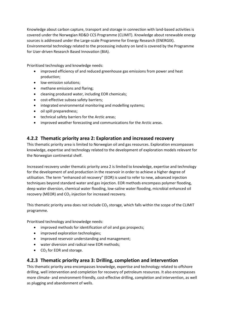Knowledge about carbon capture, transport and storage in connection with land-based activities is covered under the Norwegian RD&D CCS Programme (CLIMIT). Knowledge about renewable energy sources is addressed under the Large-scale Programme for Energy Research (ENERGIX). Environmental technology related to the processing industry on land is covered by the Programme for User-driven Research Based Innovation (BIA).

Prioritised technology and knowledge needs:

- improved efficiency of and reduced greenhouse gas emissions from power and heat production;
- low-emission solutions;
- methane emissions and flaring;
- cleaning produced water, including EOR chemicals;
- cost-effective subsea safety barriers;
- integrated environmental monitoring and modelling systems;
- oil spill preparedness;
- technical safety barriers for the Arctic areas;
- improved weather forecasting and communications for the Arctic areas.

#### **4.2.2 Thematic priority area 2: Exploration and increased recovery**

This thematic priority area is limited to Norwegian oil and gas resources. Exploration encompasses knowledge, expertise and technology related to the development of exploration models relevant for the Norwegian continental shelf.

Increased recovery under thematic priority area 2 is limited to knowledge, expertise and technology for the development of and production in the reservoir in order to achieve a higher degree of utilisation. The term "enhanced oil recovery" (EOR) is used to refer to new, advanced injection techniques beyond standard water and gas injection. EOR methods encompass polymer flooding, deep water diversion, chemical water flooding, low-saline water flooding, microbial enhanced oil recovery (MEOR) and  $CO<sub>2</sub>$  injection for increased recovery.

This thematic priority area does not include  $CO<sub>2</sub>$  storage, which falls within the scope of the CLIMIT programme.

Prioritised technology and knowledge needs:

- improved methods for identification of oil and gas prospects;
- improved exploration technologies;
- improved reservoir understanding and management;
- water diversion and radical new EOR methods;
- $\bullet$  CO<sub>2</sub> for EOR and storage.

#### **4.2.3 Thematic priority area 3: Drilling, completion and intervention**

This thematic priority area encompasses knowledge, expertise and technology related to offshore drilling, well intervention and completion for recovery of petroleum resources. It also encompasses more climate- and environment-friendly, cost-effective drilling, completion and intervention, as well as plugging and abandonment of wells.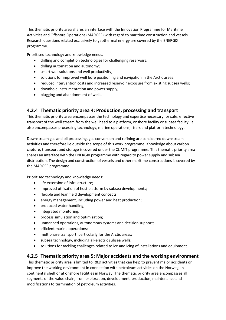This thematic priority area shares an interface with the Innovation Programme for Maritime Activities and Offshore Operations (MAROFF) with regard to maritime construction and vessels. Research questions related exclusively to geothermal energy are covered by the ENERGIX programme.

Prioritised technology and knowledge needs.

- drilling and completion technologies for challenging reservoirs;
- drilling automation and autonomy;
- smart well solutions and well productivity;
- solutions for improved well bore positioning and navigation in the Arctic areas;
- reduced intervention costs and increased reservoir exposure from existing subsea wells;
- downhole instrumentation and power supply;
- plugging and abandonment of wells.

#### **4.2.4 Thematic priority area 4: Production, processing and transport**

This thematic priority area encompasses the technology and expertise necessary for safe, effective transport of the well stream from the well head to a platform, onshore facility or subsea facility. It also encompasses processing technology, marine operations, risers and platform technology.

Downstream gas and oil processing, gas conversion and refining are considered downstream activities and therefore lie outside the scope of this work programme. Knowledge about carbon capture, transport and storage is covered under the CLIMIT programme. This thematic priority area shares an interface with the ENERGIX programme with regard to power supply and subsea distribution. The design and construction of vessels and other maritime constructions is covered by the MAROFF programme.

Prioritised technology and knowledge needs:

- life extension of infrastructure;
- improved utilisation of host platform by subsea developments;
- flexible and lean field development concepts;
- energy management, including power and heat production;
- produced water handling;
- integrated monitoring;
- process simulation and optimisation;
- unmanned operations, autonomous systems and decision support;
- **•** efficient marine operations;
- multiphase transport, particularly for the Arctic areas;
- subsea technology, including all-electric subsea wells;
- solutions for tackling challenges related to ice and icing of installations and equipment.

#### **4.2.5 Thematic priority area 5: Major accidents and the working environment**

This thematic priority area is limited to R&D activities that can help to prevent major accidents or improve the working environment in connection with petroleum activities on the Norwegian continental shelf or at onshore facilities in Norway. The thematic priority area encompasses all segments of the value chain, from exploration, development, production, maintenance and modifications to termination of petroleum activities.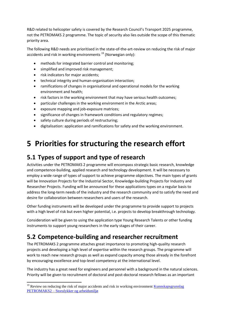R&D related to helicopter safety is covered by the Research Council's Transport 2025 programme, not the PETROMAKS 2 programme. The topic of security also lies outside the scope of this thematic priority area.

The following R&D needs are prioritised in the state-of-the-art-review on reducing the risk of major accidents and risk in working environments  $^{19}$  (Norwegian only):

- methods for integrated barrier control and monitoring;
- simplified and improved risk management;
- risk indicators for major accidents:
- technical integrity and human-organisation interaction;
- ramifications of changes in organisational and operational models for the working environment and health;
- risk factors in the working environment that may have serious health outcomes;
- particular challenges in the working environment in the Arctic areas;
- exposure mapping and job-exposure matrices;
- significance of changes in framework conditions and regulatory regimes;
- safety culture during periods of restructuring;
- digitalisation: application and ramifications for safety and the working environment.

## **5 Priorities for structuring the research effort**

### **5.1 Types of support and type of research**

Activities under the PETROMAKS 2 programme will encompass strategic basic research, knowledge and competence-building, applied research and technology development. It will be necessary to employ a wide range of types of support to achieve programme objectives. The main types of grants will be Innovation Projects for the Industrial Sector, Knowledge-building Projects for Industry and Researcher Projects. Funding will be announced for these applications types on a regular basis to address the long-term needs of the industry and the research community and to satisfy the need and desire for collaboration between researchers and users of the research.

Other funding instruments will be developed under the programme to provide support to projects with a high level of risk but even higher potential, i.e. projects to develop breakthrough technology.

Consideration will be given to using the application type Young Research Talents or other funding instruments to support young researchers in the early stages of their career.

### **5.2 Competence-building and researcher recruitment**

The PETROMAKS 2 programme attaches great importance to promoting high-quality research projects and developing a high level of expertise within the research groups. The programme will work to reach new research groups as well as expand capacity among those already in the forefront by encouraging excellence and top-level competency at the international level.

The industry has a great need for engineers and personnel with a background in the natural sciences. Priority will be given to recruitment of doctoral and post-doctoral research fellows as an important

 $\overline{\phantom{a}}$ 

<sup>&</sup>lt;sup>19</sup> Review on reducing the risk of major accidents and risk in working environment **Kunnskapsgrunnlag** PETROMAKS2 – [Storulykker og arbeidsmiljø](https://www.forskningsradet.no/servlet/Satellite?blobcol=urldata&blobheader=application%2Fpdf&blobheadername1=Content-Disposition&blobheadervalue1=+attachment%3B+filename%3D%22KunnskapsgrunnlagHMS0.pdf%22&blobkey=id&blobtable=MungoBlobs&blobwhere=1274509342822&ssbinary=true)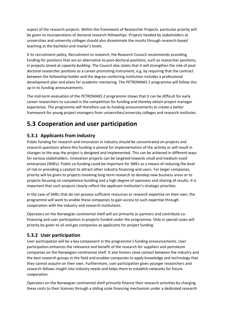aspect of the research projects. Within the framework of Researcher Projects, particular priority will be given to incorporations of doctoral research fellowships. Projects headed by stakeholders at universities and university colleges should also disseminate the results through research-based teaching at the bachelor and master's levels.

It its recruitment policy, *Recruitment to research*, the Research Council recommends providing funding for positions that are an alternative to post-doctoral positions, such as researcher positions, in projects aimed at *capacity building*. The Council also states that it will strengthen the role of *postdoctoral researcher positions* as a career-promoting instrument, e.g. by requiring that the contract between the fellowship-holder and the degree-conferring institution includes a professional development plan and plans for academic mentoring. The PETROMAKS 2 programme will follow this up in its funding announcements.

The mid-term evaluation of the PETROMAKS 2 programme shows that it can be difficult for early career researchers to succeed in the competition for funding and thereby obtain project manager experience. The programme will therefore use its funding announcements to create a better framework for young project managers from universities/university colleges and research institutes.

## **5.3 Cooperation and user participation**

#### **5.3.1 Applicants from industry**

Public funding for research and innovation in industry should be concentrated on projects and research questions where this funding is pivotal for implementation of the activity or will result in changes to the way the project is designed and implemented. This can be achieved in different ways for various stakeholders. Innovation projects can be targeted towards small and medium-sized enterprises (SMEs). Public co-funding could be important for SMEs as a means of reducing the level of risk or providing a catalyst to attract other industry financing and users. For larger companies, priority will be given to projects involving long-term research to develop new business areas or to projects focusing on competence-building and a high degree of openness and sharing of results. It is important that such projects clearly reflect the applicant institution's strategic priorities.

In the case of SMEs that do not possess sufficient resources or research expertise on their own, the programme will work to enable these companies to gain access to such expertise through cooperation with the industry and research institutions.

Operators on the Norwegian continental shelf will act primarily as partners and contribute cofinancing and user participation in projects funded under the programme. Only in special cases will priority be given to oil and gas companies as applicants for project funding.

#### **5.3.2 User participation**

User participation will be a key component in the programme's funding announcements. User participation enhances the relevance and benefit of the research for suppliers and petroleum companies on the Norwegian continental shelf. It also fosters close contact between the industry and the best research groups in the field and enables companies to apply knowledge and technology that they cannot acquire on their own. Furthermore, user participation gives younger researchers and research fellows insight into industry needs and helps them to establish networks for future cooperation.

Operators on the Norwegian continental shelf primarily finance their research activities by charging these costs to their licences through a sliding scale financing mechanism under a dedicated research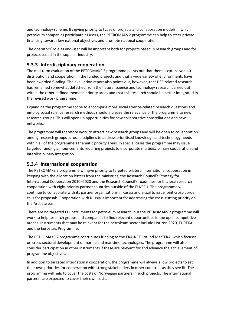and technology scheme. By giving priority to types of projects and collaboration models in which petroleum companies participate as users, the PETROMAKS 2 programme can help to steer private financing towards key national objectives and promote national cooperation.

The operators' role as end-user will be important both for projects based in research groups and for projects based in the supplier industry.

#### **5.3.3 Interdisciplinary cooperation**

The mid-term evaluation of the PETROMAKS 2 programme points out that there is extensive task distribution and cooperation in the funded projects and that a wide variety of environments have been awarded funding. The evaluation report also points out, however, that HSE-related research has remained somewhat detached from the natural science and technology research carried out within the other defined thematic priority areas and that this research should be better integrated in the revised work programme.

Expanding the programme scope to encompass more social science-related research questions and employ social science research methods should increase the relevance of the programme to new research groups. This will open up opportunities for new collaborative constellations and new networks.

The programme will therefore work to attract new research groups and will be open to collaboration among research groups across disciplines to address prioritised knowledge and technology needs within all of the programme's thematic priority areas. In special cases the programme may issue targeted funding announcements requiring projects to incorporate multidisciplinary cooperation and interdisciplinary integration.

#### **5.3.4 International cooperation**

The PETROMAKS 2 programme will give priority to targeted bilateral international cooperation in keeping with the allocation letters from the ministries, the Research Council's Strategy for International Cooperation 2010–2020 and the Research Council's roadmaps for bilateral research cooperation with eight priority partner countries outside of the EU/EEU. The programme will continue to collaborate with its partner organisations in Russia and Brazil to issue joint cross-border calls for proposals. Cooperation with Russia is important for addressing the cross-cutting priority on the Arctic areas.

There are no targeted EU instruments for petroleum research, but the PETROMAKS 2 programme will work to help research groups and companies to find relevant opportunities in the open competitive arenas. Instruments that may be relevant for the petroleum sector include Horizon 2020, EUREKA and the Eurostars Programme.

The PETROMAKS 2 programme contributes funding to the ERA-NET Cofund MarTERA, which focuses on cross-sectoral development of marine and maritime technologies. The programme will also consider participation in other instruments if these are relevant for and advance the achievement of programme objectives.

In addition to targeted international cooperation, the programme will always allow projects to set their own priorities for cooperation with strong stakeholders in other countries as they see fit. The programme will help to cover the costs of Norwegian partners in such projects. The international partners are expected to cover their own costs.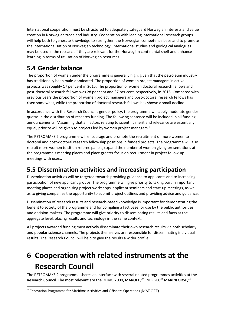International cooperation must be structured to adequately safeguard Norwegian interests and value creation in Norwegian trade and industry. Cooperation with leading international research groups will help both to generate knowledge to strengthen the Norwegian competence base and to promote the internationalisation of Norwegian technology. International studies and geological analogues may be used in the research if they are relevant for the Norwegian continental shelf and enhance learning in terms of utilisation of Norwegian resources.

## **5.4 Gender balance**

The proportion of women under the programme is generally high, given that the petroleum industry has traditionally been male-dominated. The proportion of women project managers in active projects was roughly 17 per cent in 2015. The proportion of women doctoral research fellows and post-doctoral research fellows was 28 per cent and 37 per cent, respectively, in 2015. Compared with previous years the proportion of women project managers and post-doctoral research fellows has risen somewhat, while the proportion of doctoral research fellows has shown a small decline.

In accordance with the Research Council's gender policy, the programme will apply moderate gender quotas in the distribution of research funding. The following sentence will be included in all funding announcements: "Assuming that all factors relating to scientific merit and relevance are essentially equal, priority will be given to projects led by women project managers."

The PETROMAKS 2 programme will encourage and promote the recruitment of more women to doctoral and post-doctoral research fellowship positions in funded projects. The programme will also recruit more women to sit on referee panels, expand the number of women giving presentations at the programme's meeting places and place greater focus on recruitment in project follow-up meetings with users.

## **5.5 Dissemination activities and increasing participation**

Dissemination activities will be targeted towards providing guidance to applicants and to increasing participation of new applicant groups. The programme will give priority to taking part in important meeting places and organising project workshops, applicant seminars and start-up meetings, as well as to giving companies the opportunity to submit project outlines and providing advice and guidance.

Dissemination of research results and research-based knowledge is important for demonstrating the benefit to society of the programme and for compiling a fact base for use by the public authorities and decision-makers. The programme will give priority to disseminating results and facts at the aggregate level, placing results and technology in the same context.

All projects awarded funding must actively disseminate their own research results via both scholarly and popular science channels. The projects themselves are responsible for disseminating individual results. The Research Council will help to give the results a wider profile.

# **6 Cooperation with related instruments at the Research Council**

The PETROMAKS 2 programme shares an interface with several related programmes activities at the Research Council. The most relevant are the DEMO 2000, MAROFF, $^{20}$  ENERGIX, $^{21}$  MARINFORSK, $^{22}$ 

l <sup>20</sup> Innovation Programme for Maritime Activities and Offshore Operations (MAROFF)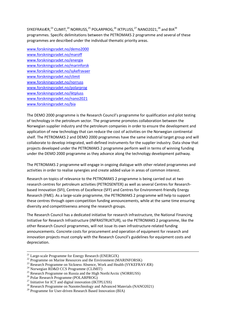SYKEFRAVÆR,<sup>23</sup> CLIMIT,<sup>24</sup> NORRUSS,<sup>25</sup> POLARPROG,<sup>26</sup> IKTPLUSS,<sup>27</sup> NANO2021,<sup>28</sup> and BIA<sup>29</sup> programmes. Specific delimitations between the PETROMAKS 2 programme and several of these programmes are described under the individual thematic priority areas.

[www.forskningsradet.no/demo2000](http://www.forskningsradet.no/demo2000) [www.forskningsradet.no/maroff](http://www.forskningsradet.no/maroff) [www.forskningsradet.no/energix](http://www.forskningsradet.no/energix) [www.forskningsradet.no/marinforsk](http://www.forskningsradet.no/marinforsk) [www.forskningsradet.no/sykefravaer](http://www.forskningsradet.no/sykefravaer) [www.forskningsradet.no/climit](http://www.forskningsradet.no/climit) [www.forskningsradet.no/norruss](http://www.forskningsradet.no/norruss) [www.forskningsradet.no/polarprog](http://www.forskningsradet.no/polarprog) [www.forskningsradet.no/iktpluss](http://www.forskningsradet.no/iktpluss) [www.forskningsradet.no/nano2021](http://www.forskningsradet.no/nano2021) www.forskningsradet.no/bia

The DEMO 2000 programme is the Research Council's programme for qualification and pilot testing of technology in the petroleum sector. The programme promotes collaboration between the Norwegian supplier industry and the petroleum companies in order to ensure the development and application of new technology that can reduce the cost of activities on the Norwegian continental shelf. The PETROMAKS 2 and DEMO 2000 programmes have the same industrial target group and will collaborate to develop integrated, well-defined instruments for the supplier industry. Data show that projects developed under the PETROMAKS 2 programme perform well in terms of winning funding under the DEMO 2000 programme as they advance along the technology development pathway.

The PETROMAKS 2 programme will engage in ongoing dialogue with other related programmes and activities in order to realise synergies and create added value in areas of common interest.

Research on topics of relevance to the PETROMAKS 2 programme is being carried out at two research centres for petroleum activities (PETROSENTER) as well as several Centres for Researchbased Innovation (SFI), Centres of Excellence (SFF) and Centres for Environment-friendly Energy Research (FME). As a large-scale programme, the PETROMAKS 2 programme will help to support these centres through open-competition funding announcements, while at the same time ensuring diversity and competitiveness among the research groups.

The Research Council has a dedicated initiative for research infrastructure, the National Financing Initiative for Research Infrastructure (INFRASTRUKTUR), so the PETROMAKS 2 programme, like the other Research Council programmes, will not issue its own infrastructure-related funding announcements. Concrete costs for procurement and operation of equipment for research and innovation projects must comply with the Research Council's guidelines for equipment costs and depreciation.

 $\overline{a}$ 

<sup>&</sup>lt;sup>21</sup> Large-scale Programme for Energy Research (ENERGIX)

 $22$  Programme on Marine Resources and the Environment (MARINFORSK)

<sup>&</sup>lt;sup>23</sup> Research Programme on Sickness Absence, Work and Health (SYKEFRAVÆR)

<sup>&</sup>lt;sup>24</sup> Norwegian RD&D CCS Programme (CLIMIT)

 $^{25}$  Research Programme on Russia and the High North/Arctic (NORRUSS)

<sup>26</sup> Polar Research Programme (POLARPROG)

<sup>&</sup>lt;sup>27</sup> Initiative for ICT and digital innovation (IKTPLUSS)

<sup>&</sup>lt;sup>28</sup> Research Programme on Nanotechnology and Advanced Materials (NANO2021)

 $29$  Programme for User-driven Research Based Innovation (BIA)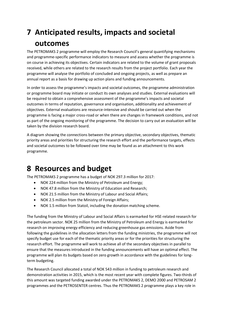# **7 Anticipated results, impacts and societal outcomes**

The PETROMAKS 2 programme will employ the Research Council's general quantifying mechanisms and programme-specific performance indicators to measure and assess whether the programme is on course in achieving its objectives. Certain indicators are related to the volume of grant proposals received, while others are related to the research results from the project portfolio. Each year the programme will analyse the portfolio of concluded and ongoing projects, as well as prepare an annual report as a basis for drawing up action plans and funding announcements.

In order to assess the programme's impacts and societal outcomes, the programme administration or programme board may initiate or conduct its own analyses and studies. External evaluations will be required to obtain a comprehensive assessment of the programme's impacts and societal outcomes in terms of reputation, governance and organisation, additionality and achievement of objectives. External evaluations are resource-intensive and should be carried out when the programme is facing a major cross-road or when there are changes in framework conditions, and not as part of the ongoing monitoring of the programme. The decision to carry out an evaluation will be taken by the division research board.

A diagram showing the connections between the primary objective, secondary objectives, thematic priority areas and priorities for structuring the research effort and the performance targets, effects and societal outcomes to be followed over time may be found as an attachment to this work programme.

## **8 Resources and budget**

The PETROMAKS 2 programme has a budget of NOK 297.3 million for 2017:

- NOK 224 million from the Ministry of Petroleum and Energy;
- NOK 47.8 million from the Ministry of Education and Research;
- NOK 21.5 million from the Ministry of Labour and Social Affairs;
- NOK 2.5 million from the Ministry of Foreign Affairs;
- NOK 1.5 million from Statoil, including the donation matching scheme.

The funding from the Ministry of Labour and Social Affairs is earmarked for HSE-related research for the petroleum sector. NOK 25 million from the Ministry of Petroleum and Energy is earmarked for research on improving energy efficiency and reducing greenhouse gas emissions. Aside from following the guidelines in the allocation letters from the funding ministries, the programme will not specify budget use for each of the thematic priority areas or for the priorities for structuring the research effort. The programme will work to achieve all of the secondary objectives in parallel to ensure that the measures introduced in the funding announcements will have an optimal effect. The programme will plan its budgets based on zero growth in accordance with the guidelines for longterm budgeting.

The Research Council allocated a total of NOK 543 million in funding to petroleum research and demonstration activities in 2015, which is the most recent year with complete figures. Two-thirds of this amount was targeted funding awarded under the PETROMAKS 2, DEMO 2000 and PETROSAM 2 programmes and the PETROSENTER centres. Thus the PETROMAKS 2 programme plays a key role in